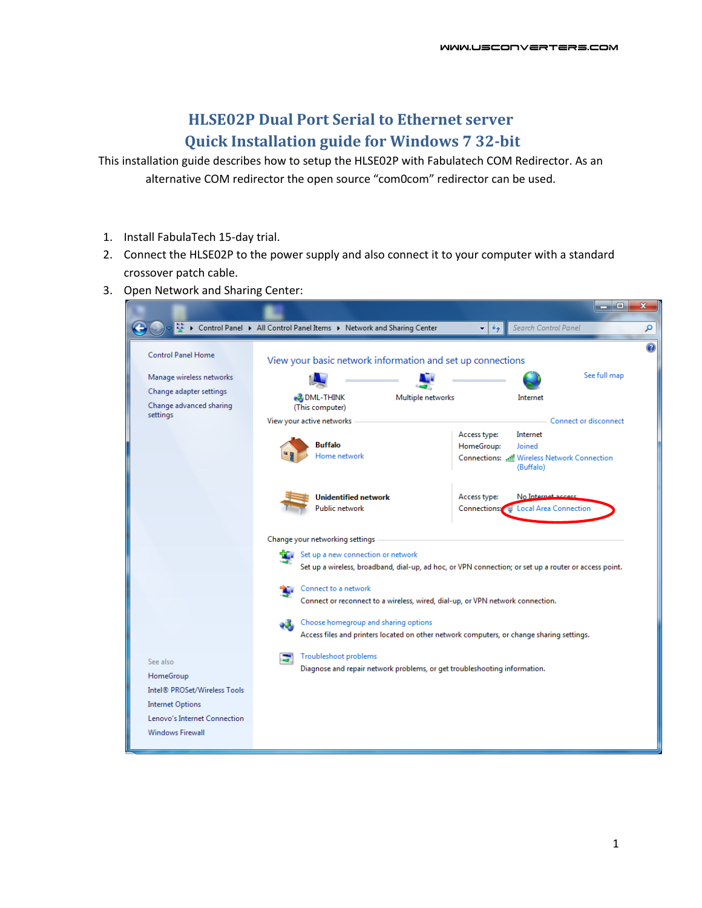## **HLSE02P Dual Port Serial to Ethernet server Quick Installation guide for Windows 7 32-bit**

This installation guide describes how to setup the HLSE02P with Fabulatech COM Redirector. As an alternative COM redirector the open source "com0com" redirector can be used.

- 1. Install FabulaTech 15-day trial.
- 2. Connect the HLSE02P to the power supply and also connect it to your computer with a standard crossover patch cable.
- 3. Open Network and Sharing Center:

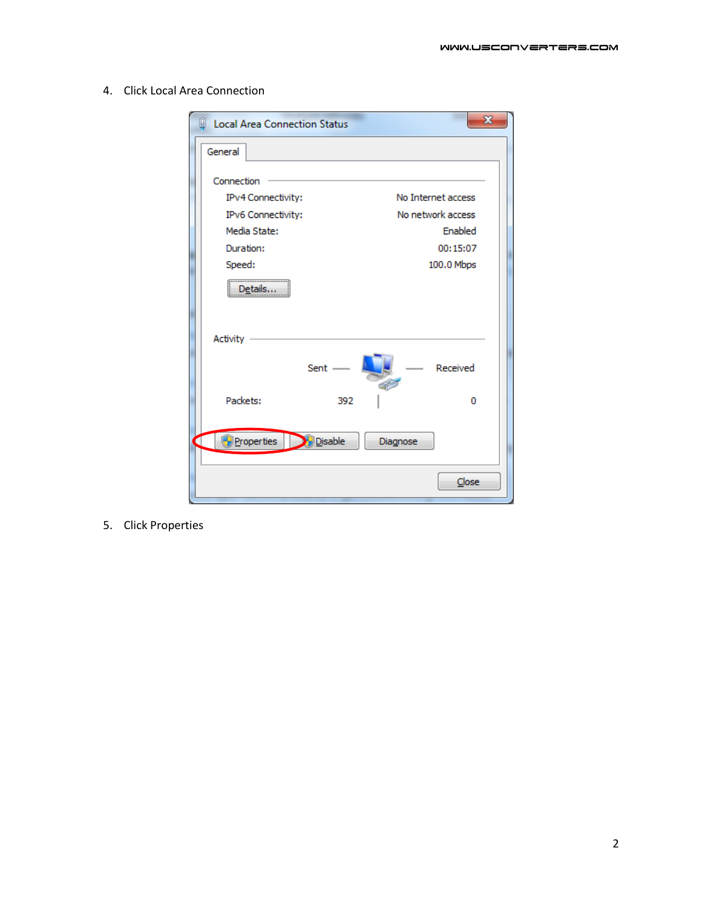| <b>Local Area Connection Status</b> | x                  |
|-------------------------------------|--------------------|
| General                             |                    |
| Connection                          |                    |
| IPv4 Connectivity:                  | No Internet access |
| IPv6 Connectivity:                  | No network access  |
| Media State:                        | Enabled            |
| Duration:                           | 00:15:07           |
| Speed:                              | 100.0 Mbps         |
| <br>Details                         |                    |
| <b>Activity</b>                     |                    |
| Sent $-$                            | Received           |
| Packets:                            | 392<br>o           |
| <b>Properties</b><br><b>Disable</b> | Diagnose           |
|                                     | Close              |

4. Click Local Area Connection

5. Click Properties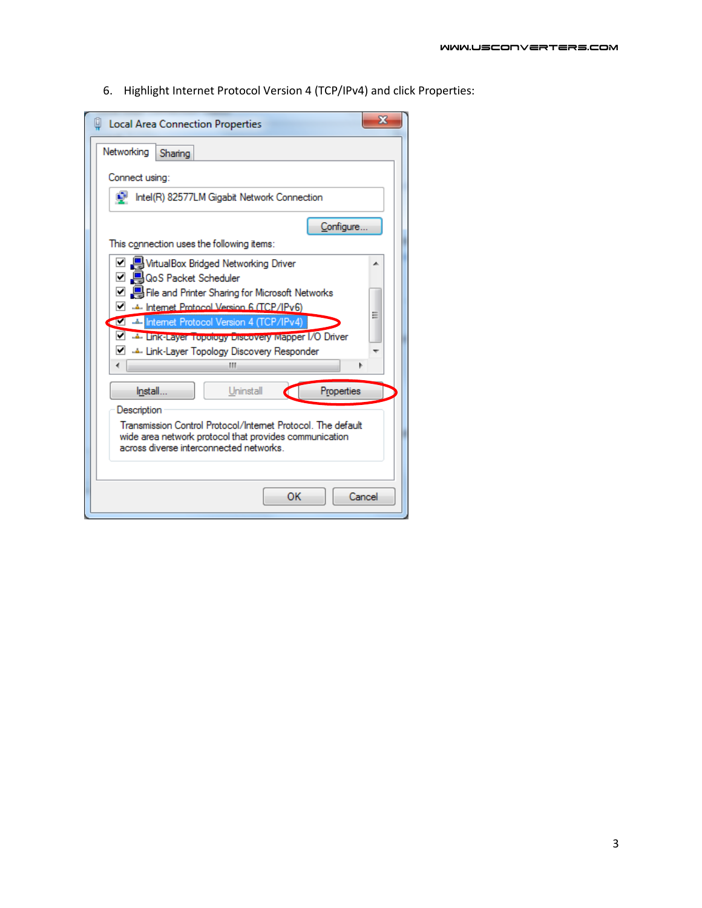6. Highlight Internet Protocol Version 4 (TCP/IPv4) and click Properties:

| Local Area Connection Properties                                                                                                                                                                                                                                                                                                  | $\mathbf x$ |  |  |  |  |
|-----------------------------------------------------------------------------------------------------------------------------------------------------------------------------------------------------------------------------------------------------------------------------------------------------------------------------------|-------------|--|--|--|--|
| Networking<br>Sharing                                                                                                                                                                                                                                                                                                             |             |  |  |  |  |
| Connect using:                                                                                                                                                                                                                                                                                                                    |             |  |  |  |  |
| <b>A</b><br>Intel(R) 82577LM Gigabit Network Connection                                                                                                                                                                                                                                                                           |             |  |  |  |  |
| Configure.                                                                                                                                                                                                                                                                                                                        |             |  |  |  |  |
| This connection uses the following items:                                                                                                                                                                                                                                                                                         |             |  |  |  |  |
| ☑ 및 VirtualBox Bridged Networking Driver<br>□ 및 QoS Packet Scheduler<br>☑ , File and Printer Sharing for Microsoft Networks<br>Internet Protocol Version 6 (TCP/IPv6)<br>▿<br>Internet Protocol Version 4 (TCP/IPv4)<br>Diver Layer Topology Discovery Mapper I/O Driver<br>M → Link-Layer Topology Discovery Responder<br>٠<br>ш | Ξ           |  |  |  |  |
| Install<br>Uninstall<br>Properties                                                                                                                                                                                                                                                                                                |             |  |  |  |  |
| Description<br>Transmission Control Protocol/Internet Protocol. The default<br>wide area network protocol that provides communication<br>across diverse interconnected networks.                                                                                                                                                  |             |  |  |  |  |
| OK                                                                                                                                                                                                                                                                                                                                | Cancel      |  |  |  |  |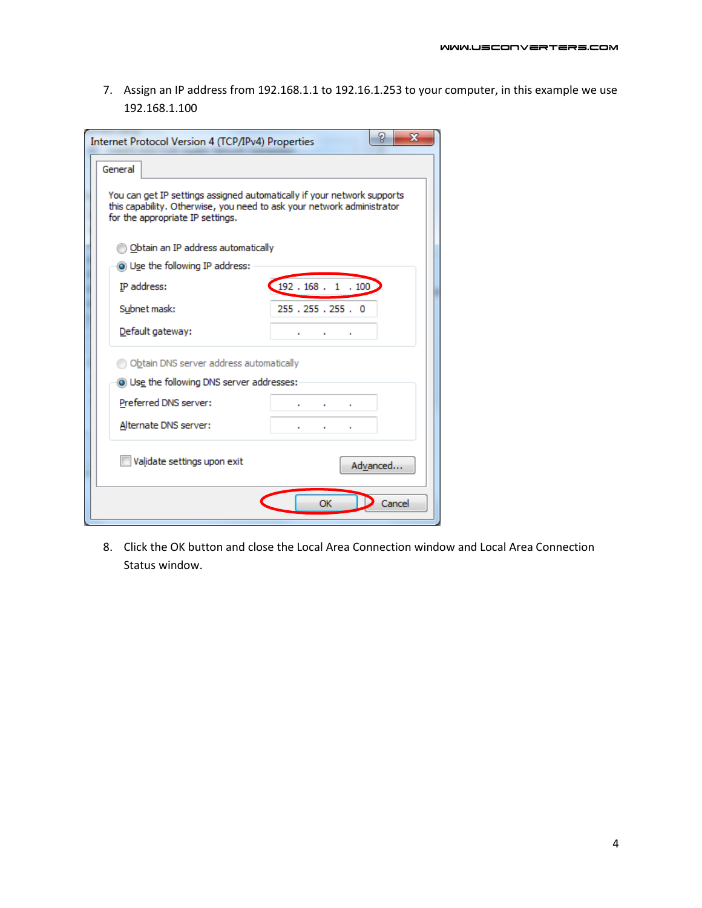7. Assign an IP address from 192.168.1.1 to 192.16.1.253 to your computer, in this example we use 192.168.1.100

| Internet Protocol Version 4 (TCP/IPv4) Properties                                                                                                                                     | P<br>x                                   |  |  |  |  |  |  |  |
|---------------------------------------------------------------------------------------------------------------------------------------------------------------------------------------|------------------------------------------|--|--|--|--|--|--|--|
| General                                                                                                                                                                               |                                          |  |  |  |  |  |  |  |
| You can get IP settings assigned automatically if your network supports<br>this capability. Otherwise, you need to ask your network administrator<br>for the appropriate IP settings. |                                          |  |  |  |  |  |  |  |
| b Obtain an IP address automatically                                                                                                                                                  |                                          |  |  |  |  |  |  |  |
| O Use the following IP address:                                                                                                                                                       |                                          |  |  |  |  |  |  |  |
| IP address:                                                                                                                                                                           | 192.168.1.100                            |  |  |  |  |  |  |  |
| Subnet mask:                                                                                                                                                                          | 255.255.255.0                            |  |  |  |  |  |  |  |
| Default gateway:                                                                                                                                                                      | <b>Contract Contract</b><br>$\mathbf{r}$ |  |  |  |  |  |  |  |
| Obtain DNS server address automatically                                                                                                                                               |                                          |  |  |  |  |  |  |  |
| <b>O</b> Use the following DNS server addresses:                                                                                                                                      |                                          |  |  |  |  |  |  |  |
| Preferred DNS server:                                                                                                                                                                 | ٠                                        |  |  |  |  |  |  |  |
| Alternate DNS server:                                                                                                                                                                 | ٠<br>×.<br>٠                             |  |  |  |  |  |  |  |
| Validate settings upon exit                                                                                                                                                           | Advanced                                 |  |  |  |  |  |  |  |
|                                                                                                                                                                                       | OK<br>Cancel                             |  |  |  |  |  |  |  |

8. Click the OK button and close the Local Area Connection window and Local Area Connection Status window.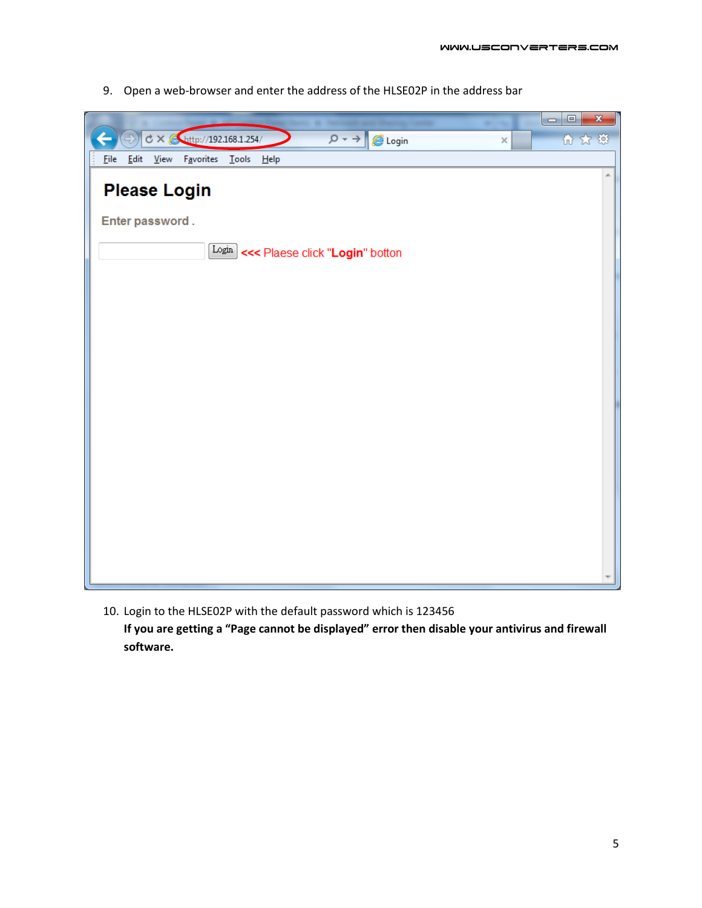9. Open a web-browser and enter the address of the HLSE02P in the address bar

|                                                                                    |          | $\Box$<br>$\mathbf{x}$<br>$\blacksquare$ |
|------------------------------------------------------------------------------------|----------|------------------------------------------|
| $\texttt{C} \times \text{[http://192.168.1.254/}$<br>$\rho \rightarrow$<br>C Login | $\times$ | 而太慈                                      |
| File Edit View Favorites Tools Help                                                |          |                                          |
| <b>Please Login</b>                                                                |          | ×.                                       |
| Enter password.                                                                    |          |                                          |
| $\frac{\text{Login}}{\text{Login}}$ <<< Plaese click " <b>Login</b> " botton       |          |                                          |
|                                                                                    |          |                                          |
|                                                                                    |          |                                          |
|                                                                                    |          |                                          |
|                                                                                    |          |                                          |
|                                                                                    |          |                                          |
|                                                                                    |          |                                          |
|                                                                                    |          |                                          |
|                                                                                    |          |                                          |
|                                                                                    |          |                                          |
|                                                                                    |          |                                          |

10. Login to the HLSE02P with the default password which is 123456 **If you are getting a "Page cannot be displayed" error then disable your antivirus and firewall software.**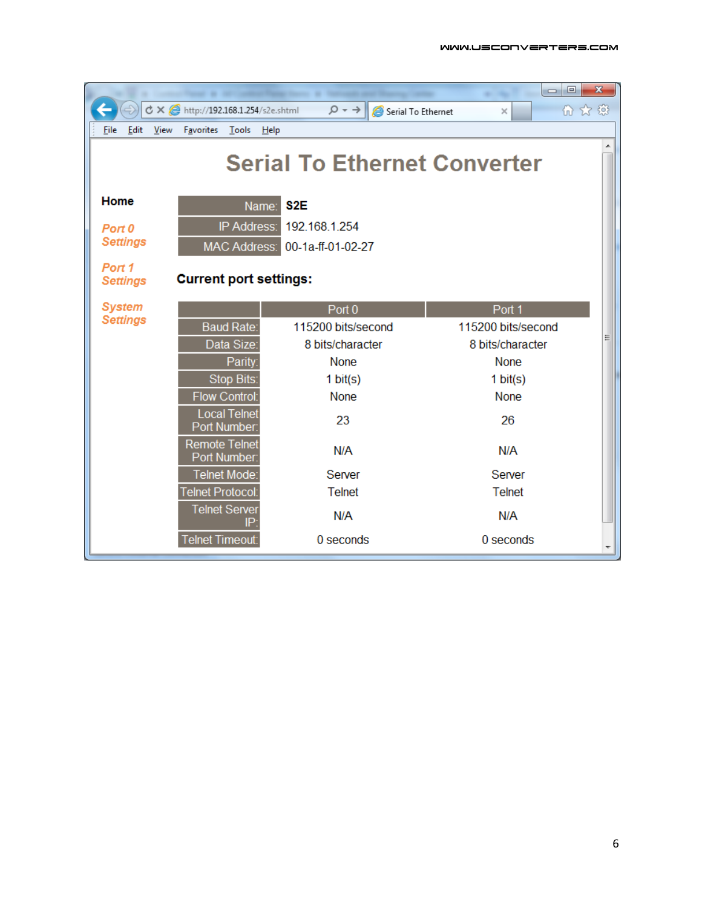|                           |                                      |                                         | $\Box$<br>$\Box$   | $\mathbf{x}$ |  |  |  |  |  |
|---------------------------|--------------------------------------|-----------------------------------------|--------------------|--------------|--|--|--|--|--|
|                           | で × e http://192.168.1.254/s2e.shtml | $\circ$ + $\circ$<br>Serial To Ethernet | 而众感<br>×           |              |  |  |  |  |  |
| File<br>Edit<br>View      | Favorites Tools<br>Help              |                                         |                    |              |  |  |  |  |  |
|                           | <b>Serial To Ethernet Converter</b>  |                                         |                    |              |  |  |  |  |  |
| Home                      | S <sub>2</sub> E<br>Name:            |                                         |                    |              |  |  |  |  |  |
| Port 0                    | IP Address:                          | 192.168.1.254                           |                    |              |  |  |  |  |  |
| <b>Settings</b>           | <b>MAC Address:</b>                  | 00-1a-ff-01-02-27                       |                    |              |  |  |  |  |  |
| Port 1<br><b>Settings</b> | <b>Current port settings:</b>        |                                         |                    |              |  |  |  |  |  |
| <b>System</b>             |                                      | Port 0                                  | Port <sub>1</sub>  |              |  |  |  |  |  |
| <b>Settings</b>           | <b>Baud Rate:</b>                    | 115200 bits/second                      | 115200 bits/second |              |  |  |  |  |  |
|                           | Data Size:                           | 8 bits/character                        | 8 bits/character   | Ξ            |  |  |  |  |  |
|                           | Parity:                              | None                                    | <b>None</b>        |              |  |  |  |  |  |
|                           | Stop Bits:                           | 1 $bit(s)$                              | 1 $bit(s)$         |              |  |  |  |  |  |
|                           | <b>Flow Control:</b>                 | None                                    | <b>None</b>        |              |  |  |  |  |  |
|                           | <b>Local Telnet</b><br>Port Number:  | 23                                      | 26                 |              |  |  |  |  |  |
|                           | <b>Remote Telnet</b><br>Port Number: | N/A                                     | N/A                |              |  |  |  |  |  |
|                           | Telnet Mode:                         | Server                                  | Server             |              |  |  |  |  |  |
|                           | Telnet Protocol:                     | <b>Telnet</b>                           | <b>Telnet</b>      |              |  |  |  |  |  |
|                           | <b>Telnet Server</b><br>IP           | N/A                                     | N/A                |              |  |  |  |  |  |
|                           | <b>Telnet Timeout:</b>               | 0 seconds                               | 0 seconds          |              |  |  |  |  |  |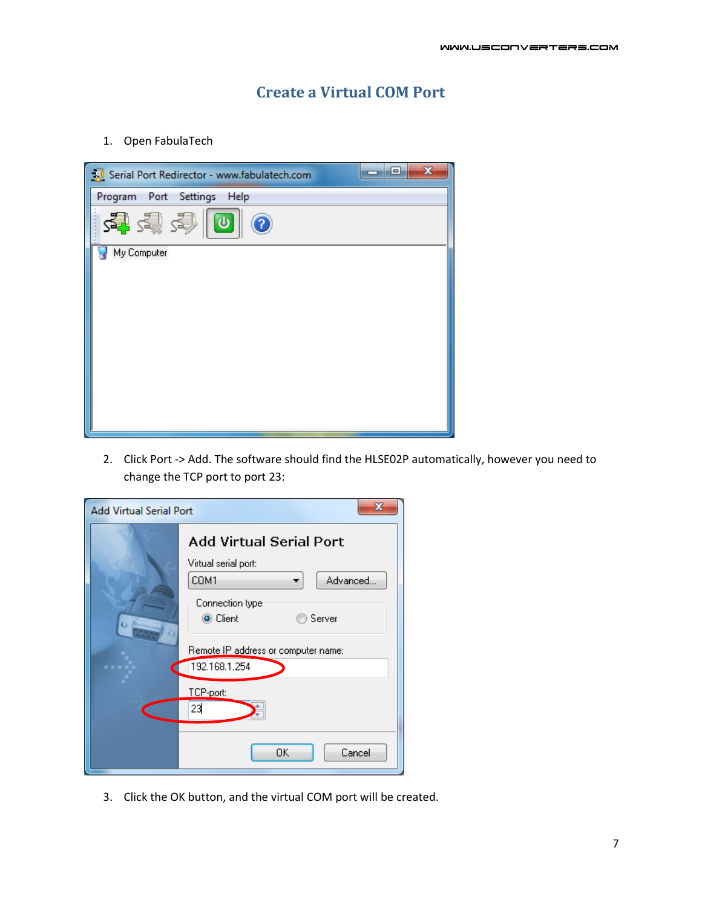## **Create a Virtual COM Port**

1. Open FabulaTech

| $\mathbf{x}$<br>o<br>Serial Port Redirector - www.fabulatech.com<br>- |
|-----------------------------------------------------------------------|
| Program Port Settings Help                                            |
| 空空冷回<br>$\odot$                                                       |
| My Computer                                                           |
|                                                                       |
|                                                                       |
|                                                                       |
|                                                                       |
|                                                                       |
|                                                                       |
|                                                                       |
|                                                                       |

2. Click Port -> Add. The software should find the HLSE02P automatically, however you need to change the TCP port to port 23:

| х<br><b>Add Virtual Serial Port</b> |                                     |  |  |  |  |  |
|-------------------------------------|-------------------------------------|--|--|--|--|--|
|                                     | <b>Add Virtual Serial Port</b>      |  |  |  |  |  |
|                                     | Virtual serial port:                |  |  |  |  |  |
|                                     | COM1<br>Advanced                    |  |  |  |  |  |
|                                     | Connection type                     |  |  |  |  |  |
|                                     | ◉ Client<br>Server                  |  |  |  |  |  |
|                                     | Remote IP address or computer name: |  |  |  |  |  |
|                                     | 192.168.1.254                       |  |  |  |  |  |
|                                     | TCP-port:                           |  |  |  |  |  |
|                                     | 23                                  |  |  |  |  |  |
|                                     |                                     |  |  |  |  |  |
|                                     | OK<br>Cancel                        |  |  |  |  |  |

3. Click the OK button, and the virtual COM port will be created.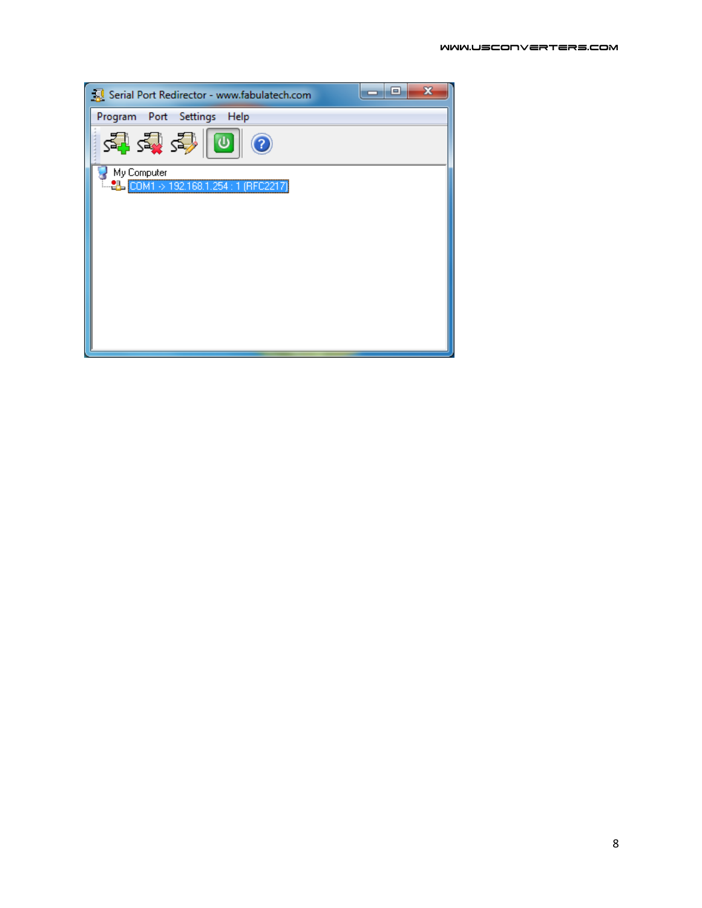| Serial Port Redirector - www.fabulatech.com | х<br>$\qquad \qquad =$ |
|---------------------------------------------|------------------------|
| Program Port Settings<br>Help               |                        |
| 영합화  미<br>$\odot$                           |                        |
| My Computer                                 |                        |
| E. 2L COM1 > 192.168.1.254 : 1 (RFC2217)    |                        |
|                                             |                        |
|                                             |                        |
|                                             |                        |
|                                             |                        |
|                                             |                        |
|                                             |                        |
|                                             |                        |
|                                             |                        |
|                                             |                        |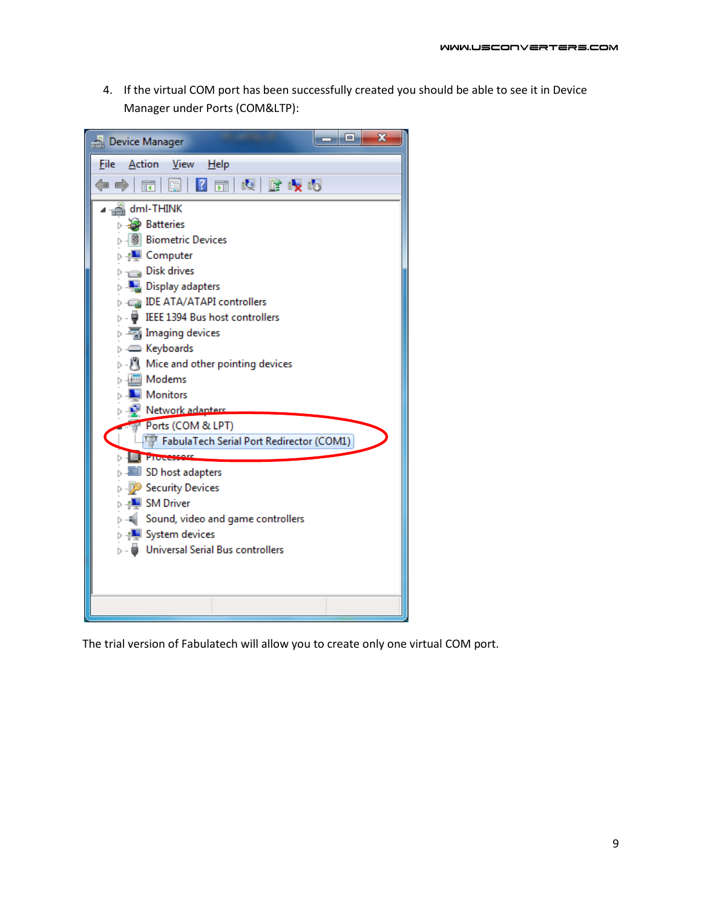4. If the virtual COM port has been successfully created you should be able to see it in Device Manager under Ports (COM&LTP):



The trial version of Fabulatech will allow you to create only one virtual COM port.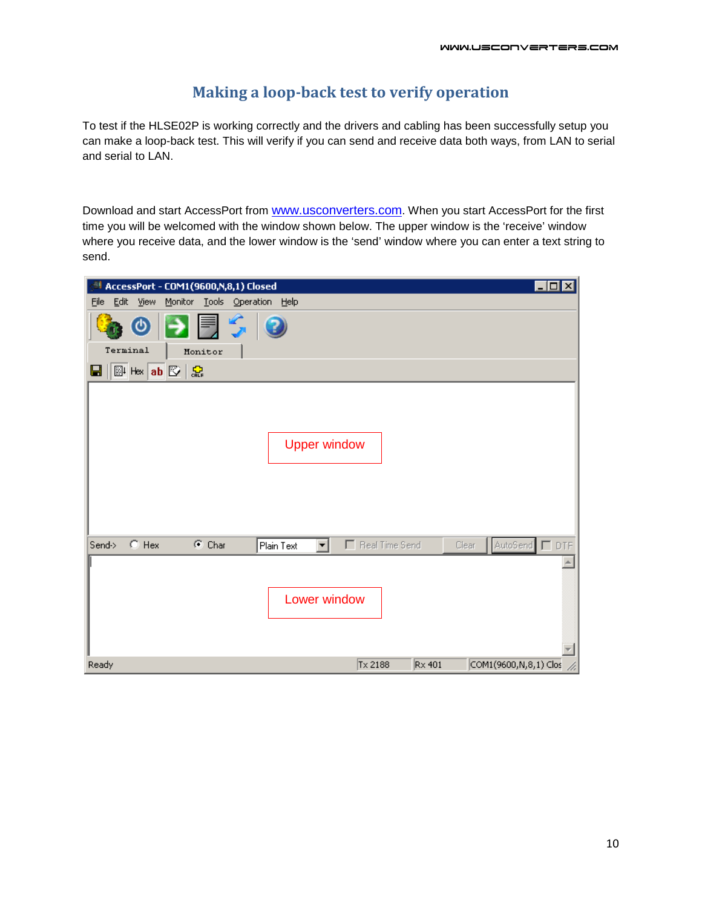## **Making a loop-back test to verify operation**

To test if the HLSE02P is working correctly and the drivers and cabling has been successfully setup you can make a loop-back test. This will verify if you can send and receive data both ways, from LAN to serial and serial to LAN.

Download and start AccessPort from [www.usconverters.com.](http://www.usconverters.com/) When you start AccessPort for the first time you will be welcomed with the window shown below. The upper window is the 'receive' window where you receive data, and the lower window is the 'send' window where you can enter a text string to send.

| $\Box$ o $\Box$<br>AccessPort - COM1(9600,N,8,1) Closed                                      |
|----------------------------------------------------------------------------------------------|
| Edit View<br>Monitor Tools Operation Help<br>Eile                                            |
| BUSI<br>$\bullet$<br>$\bullet$                                                               |
| Terminal<br>Monitor                                                                          |
| <b>剛 Hax ab 図 忠</b><br>Ы                                                                     |
| <b>Upper window</b>                                                                          |
| $\odot$ Hex<br>AutoSend □ DTF<br>$C$ Char<br>Real Time Send<br>Send-><br>Plain Text<br>Clear |
| Lower window                                                                                 |
| Tx 2188<br>COM1(9600, N, 8, 1) Clos<br>Ready<br>$Rx$ 401                                     |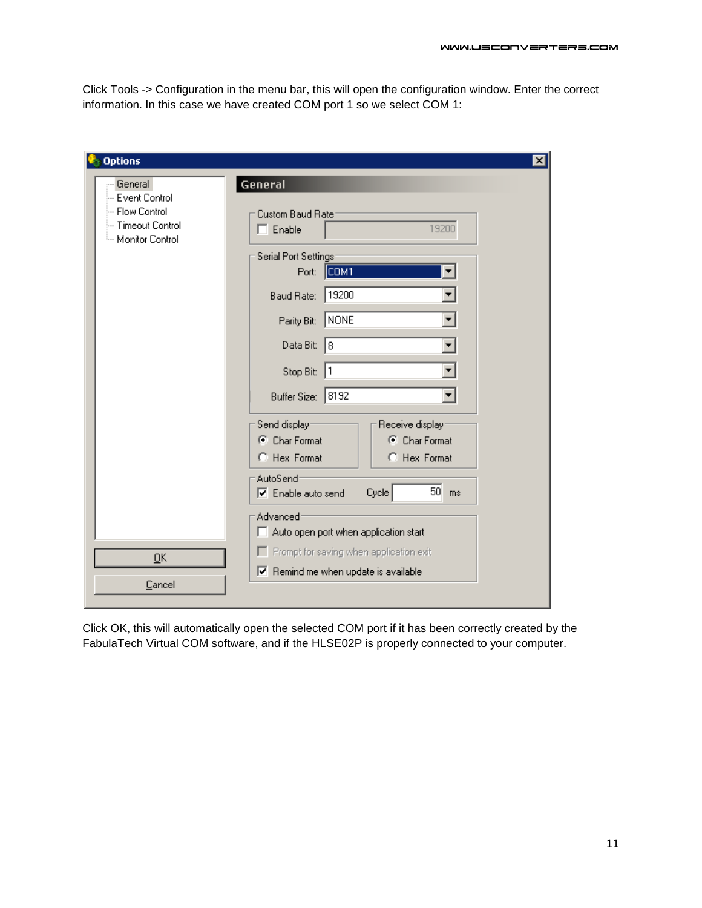Click Tools -> Configuration in the menu bar, this will open the configuration window. Enter the correct information. In this case we have created COM port 1 so we select COM 1:

| <b>Options</b>                                                                            | $\vert x \vert$                                                                                                                                                                                                                                                                                                                                                                                                                                                   |
|-------------------------------------------------------------------------------------------|-------------------------------------------------------------------------------------------------------------------------------------------------------------------------------------------------------------------------------------------------------------------------------------------------------------------------------------------------------------------------------------------------------------------------------------------------------------------|
| General<br>-- Event Control<br>--- Flow Control<br>--- Timeout Control<br>Monitor Control | General<br>Custom Baud Rate<br>19200<br>$\Box$ Enable<br>Serial Port Settings:<br>COM <sub>1</sub><br>Port:<br>19200<br>Baud Rate:<br>NONE<br>Parity Bit:<br>Data Bit:<br>l8<br>Stop Bit:<br>11<br>Buffer Size: 8192<br>Send display:<br>Receive display:<br>C Char Format<br>C Char Format<br>C Hex Format<br>C Hex Format<br>AutoSend <sup>®</sup><br>$50$ ms<br>Cycle<br>$\nabla$ Enable auto send<br>Advanced<br>$\Box$ Auto open port when application start |
| QK                                                                                        | F Prompt for saving when application exit<br>$\triangledown$ Remind me when update is available                                                                                                                                                                                                                                                                                                                                                                   |
| Cancel                                                                                    |                                                                                                                                                                                                                                                                                                                                                                                                                                                                   |

Click OK, this will automatically open the selected COM port if it has been correctly created by the FabulaTech Virtual COM software, and if the HLSE02P is properly connected to your computer.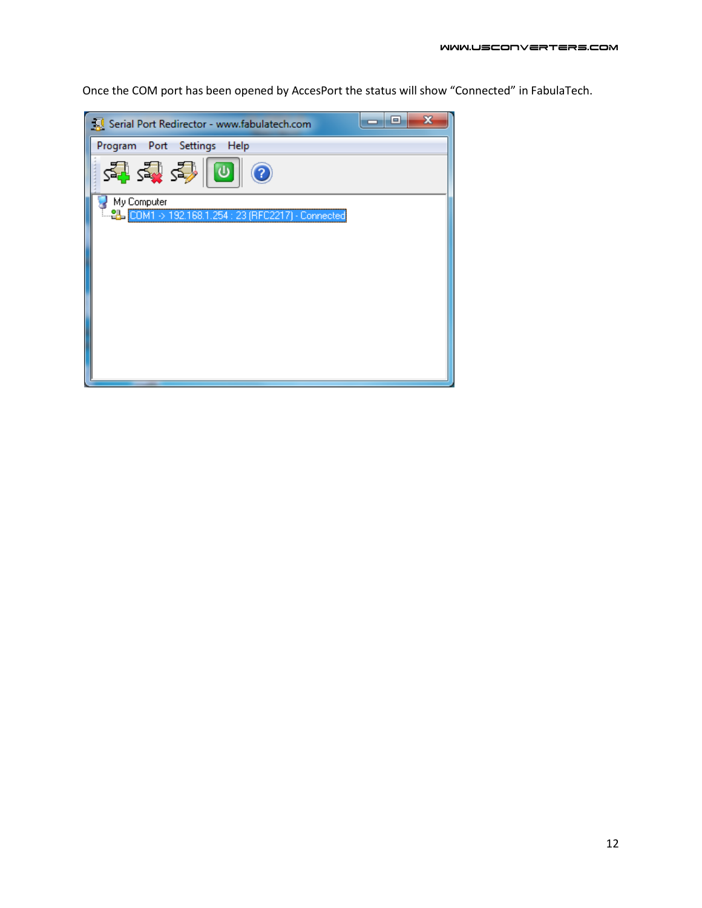Once the COM port has been opened by AccesPort the status will show "Connected" in FabulaTech.

| Serial Port Redirector - www.fabulatech.com           | E | x |
|-------------------------------------------------------|---|---|
| Program Port Settings Help                            |   |   |
| 習ずる◎◎<br>3                                            |   |   |
| My Computer                                           |   |   |
| LL 2L COM1 > 192.168.1.254 : 23 (RFC2217) - Connected |   |   |
|                                                       |   |   |
|                                                       |   |   |
|                                                       |   |   |
|                                                       |   |   |
|                                                       |   |   |
|                                                       |   |   |
|                                                       |   |   |
|                                                       |   |   |
|                                                       |   |   |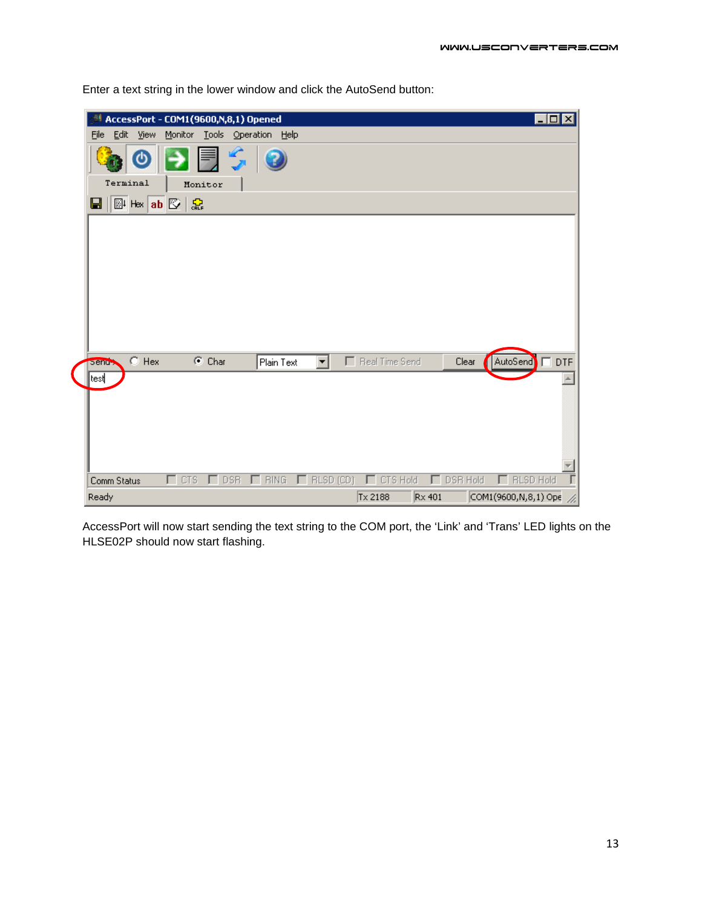| AccessPort - COM1(9600,N,8,1) Opened  |              |                    |                      |                  |                  |          |               |                       | $\blacksquare$ $\blacksquare$ $\times$ |
|---------------------------------------|--------------|--------------------|----------------------|------------------|------------------|----------|---------------|-----------------------|----------------------------------------|
| Edit<br>Eile<br><b>View</b>           | Monitor      |                    | Tools Operation Help |                  |                  |          |               |                       |                                        |
|                                       |              | $\mathcal{L}$<br>員 |                      |                  |                  |          |               |                       |                                        |
| Terminal                              | Monitor      |                    |                      |                  |                  |          |               |                       |                                        |
| $\mathbb{B}$ Hex ab $\mathbb{E}$<br>Ы | 홊            |                    |                      |                  |                  |          |               |                       |                                        |
|                                       |              |                    |                      |                  |                  |          |               |                       |                                        |
|                                       |              |                    |                      |                  |                  |          |               |                       |                                        |
|                                       |              |                    |                      |                  |                  |          |               |                       |                                        |
|                                       |              |                    |                      |                  |                  |          |               |                       |                                        |
|                                       |              |                    |                      |                  |                  |          |               |                       |                                        |
|                                       |              |                    |                      |                  |                  |          |               |                       |                                        |
|                                       |              |                    |                      |                  |                  |          |               |                       |                                        |
|                                       |              |                    |                      |                  |                  |          |               |                       |                                        |
| $\bigcirc$ Hex<br>send >              |              | $\odot$ Char       | Plain Text           | ▼                | F Real Time Send |          | Clear         | AutoSend FDTF         |                                        |
| test                                  |              |                    |                      |                  |                  |          |               |                       |                                        |
|                                       |              |                    |                      |                  |                  |          |               |                       |                                        |
|                                       |              |                    |                      |                  |                  |          |               |                       |                                        |
|                                       |              |                    |                      |                  |                  |          |               |                       |                                        |
|                                       |              |                    |                      |                  |                  |          |               |                       |                                        |
|                                       |              |                    |                      |                  |                  |          |               |                       |                                        |
| Comm Status                           | $\Gamma$ CTS | $\Gamma$ DSR       | <b>BING</b>          | $\Box$ RLSD (CD) | E.               | CTS Hold | DSR Hold<br>┍ | <b>RLSD Hold</b><br>г | Ī                                      |
| Ready                                 |              |                    |                      |                  | Tx 2188          |          | $Rx$ 401      | COM1(9600,N,8,1) Ope  |                                        |

Enter a text string in the lower window and click the AutoSend button:

AccessPort will now start sending the text string to the COM port, the 'Link' and 'Trans' LED lights on the HLSE02P should now start flashing.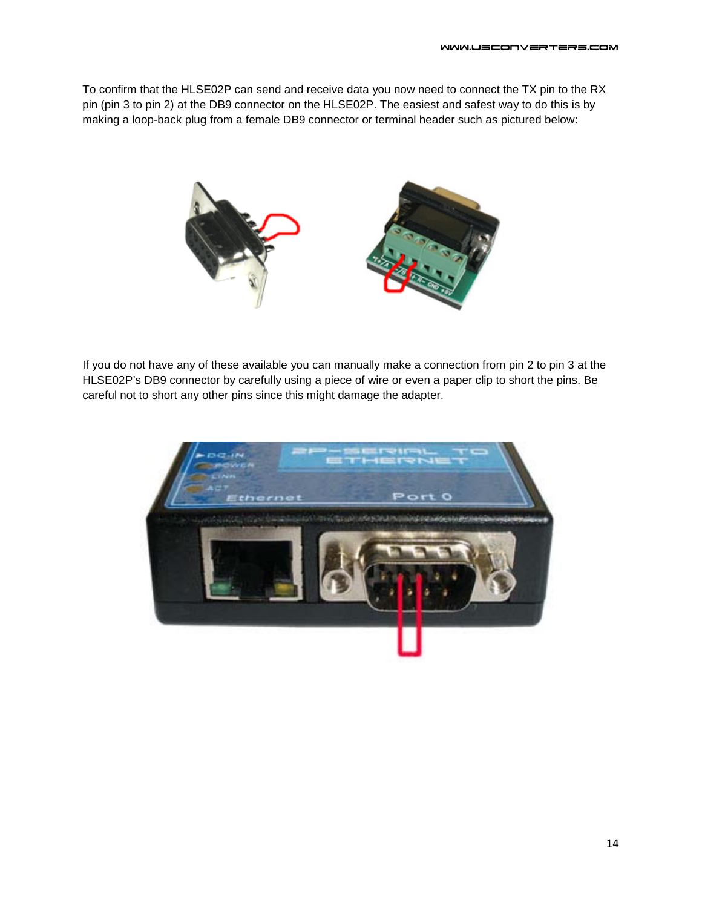To confirm that the HLSE02P can send and receive data you now need to connect the TX pin to the RX pin (pin 3 to pin 2) at the DB9 connector on the HLSE02P. The easiest and safest way to do this is by making a loop-back plug from a female DB9 connector or terminal header such as pictured below:



If you do not have any of these available you can manually make a connection from pin 2 to pin 3 at the HLSE02P's DB9 connector by carefully using a piece of wire or even a paper clip to short the pins. Be careful not to short any other pins since this might damage the adapter.